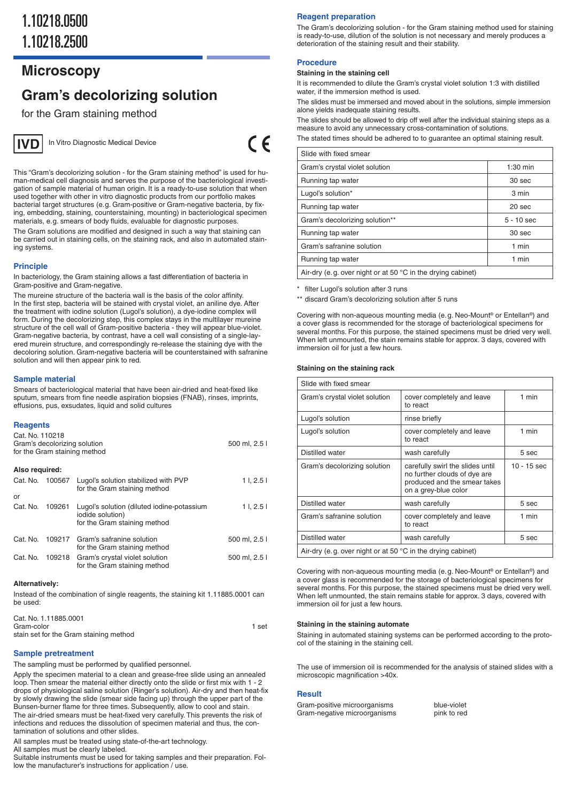# 1.10218.0500 1.10218.2500

## **Microscopy**

## **Gram's decolorizing solution**

for the Gram staining method



In Vitro Diagnostic Medical Device

 $\epsilon$ 

This "Gram's decolorizing solution - for the Gram staining method" is used for human-medical cell diagnosis and serves the purpose of the bacteriological investigation of sample material of human origin. It is a ready-to-use solution that when used together with other in vitro diagnostic products from our portfolio makes bacterial target structures (e. g. Gram-positive or Gram-negative bacteria, by fixing, embedding, staining, counterstaining, mounting) in bacteriological specimen materials, e. g. smears of body fluids, evaluable for diagnostic purposes. The Gram solutions are modified and designed in such a way that staining can be carried out in staining cells, on the staining rack, and also in automated stain-

## ing systems. **Principle**

In bacteriology, the Gram staining allows a fast differentiation of bacteria in Gram-positive and Gram-negative.

The mureine structure of the bacteria wall is the basis of the color affinity. In the first step, bacteria will be stained with crystal violet, an aniline dye. After the treatment with iodine solution (Lugol's solution), a dye-iodine complex will form. During the decolorizing step, this complex stays in the multilayer mureine structure of the cell wall of Gram-positive bacteria - they will appear blue-violet. Gram-negative bacteria, by contrast, have a cell wall consisting of a single-layered murein structure, and correspondingly re-release the staining dye with the decoloring solution. Gram-negative bacteria will be counterstained with safranine solution and will then appear pink to red.

## **Sample material**

Smears of bacteriological material that have been air-dried and heat-fixed like sputum, smears from fine needle aspiration biopsies (FNAB), rinses, imprints, effusions, pus, exsudates, liquid and solid cultures

## **Reagents**

| Cat. No. 110218 | Gram's decolorizing solution | for the Gram staining method                                                                   | 500 ml, 2.5 l |
|-----------------|------------------------------|------------------------------------------------------------------------------------------------|---------------|
| Also required:  |                              |                                                                                                |               |
| Cat. No.        | 100567                       | Lugol's solution stabilized with PVP<br>for the Gram staining method                           | 11, 2.51      |
| or              |                              |                                                                                                |               |
| Cat. No.        | 109261                       | Lugol's solution (diluted iodine-potassium<br>iodide solution)<br>for the Gram staining method | 11, 2.51      |
| Cat. No.        | 109217                       | Gram's safranine solution<br>for the Gram staining method                                      | 500 ml, 2.5 l |
| Cat. No.        | 109218                       | Gram's crystal violet solution<br>for the Gram staining method                                 | 500 ml, 2.5 l |
|                 |                              |                                                                                                |               |

## **Alternatively:**

Instead of the combination of single reagents, the staining kit 1.11885.0001 can be used:

| Cat. No. 1.11885.0001                  |       |
|----------------------------------------|-------|
| Gram-color                             | 1 set |
| stain set for the Gram staining method |       |

## **Sample pretreatment**

The sampling must be performed by qualified personnel.

Apply the specimen material to a clean and grease-free slide using an annealed loop. Then smear the material either directly onto the slide or first mix with 1 - 2 drops of physiological saline solution (Ringer's solution). Air-dry and then heat-fix by slowly drawing the slide (smear side facing up) through the upper part of the Bunsen-burner flame for three times. Subsequently, allow to cool and stain. The air-dried smears must be heat-fixed very carefully. This prevents the risk of infections and reduces the dissolution of specimen material and thus, the contamination of solutions and other slides.

All samples must be treated using state-of-the-art technology.

All samples must be clearly labeled.

Suitable instruments must be used for taking samples and their preparation. Follow the manufacturer's instructions for application / use.

## **Reagent preparation**

The Gram's decolorizing solution - for the Gram staining method used for staining is ready-to-use, dilution of the solution is not necessary and merely produces a deterioration of the staining result and their stability.

## **Procedure**

#### **Staining in the staining cell**

It is recommended to dilute the Gram's crystal violet solution 1:3 with distilled water, if the immersion method is used.

The slides must be immersed and moved about in the solutions, simple immersion alone yields inadequate staining results.

The slides should be allowed to drip off well after the individual staining steps as a measure to avoid any unnecessary cross-contamination of solutions.

The stated times should be adhered to to guarantee an optimal staining result.

| Slide with fixed smear                                               |                   |
|----------------------------------------------------------------------|-------------------|
| Gram's crystal violet solution                                       | $1:30$ min        |
| Running tap water                                                    | 30 <sub>sec</sub> |
| Lugol's solution*                                                    | 3 min             |
| Running tap water                                                    | 20 sec            |
| Gram's decolorizing solution**                                       | $5 - 10$ sec      |
| Running tap water                                                    | 30 sec            |
| Gram's safranine solution                                            | 1 min             |
| Running tap water                                                    | 1 min             |
| Air-dry (e.g. over night or at 50 $\degree$ C in the drying cabinet) |                   |

filter Lugol's solution after 3 runs

\*\* discard Gram's decolorizing solution after 5 runs

Covering with non-aqueous mounting media (e. g. Neo-Mount® or Entellan®) and a cover glass is recommended for the storage of bacteriological specimens for several months. For this purpose, the stained specimens must be dried very well. When left unmounted, the stain remains stable for approx. 3 days, covered with immersion oil for just a few hours.

#### **Staining on the staining rack**

| Slide with fixed smear                                                |                                                                                                                          |               |  |
|-----------------------------------------------------------------------|--------------------------------------------------------------------------------------------------------------------------|---------------|--|
| Gram's crystal violet solution                                        | cover completely and leave<br>to react                                                                                   | 1 min         |  |
| Lugol's solution                                                      | rinse briefly                                                                                                            |               |  |
| Lugol's solution                                                      | cover completely and leave<br>to react                                                                                   | 1 min         |  |
| Distilled water                                                       | wash carefully                                                                                                           | 5 sec         |  |
| Gram's decolorizing solution                                          | carefully swirl the slides until<br>no further clouds of dye are<br>produced and the smear takes<br>on a grey-blue color | $10 - 15$ sec |  |
| Distilled water                                                       | wash carefully                                                                                                           | 5 sec         |  |
| Gram's safranine solution                                             | cover completely and leave<br>to react                                                                                   | 1 min         |  |
| Distilled water                                                       | wash carefully                                                                                                           | 5 sec         |  |
| Air-dry (e.g. over night or at 50 $^{\circ}$ C in the drying cabinet) |                                                                                                                          |               |  |

Covering with non-aqueous mounting media (e. g. Neo-Mount® or Entellan®) and a cover glass is recommended for the storage of bacteriological specimens for several months. For this purpose, the stained specimens must be dried very well. When left unmounted, the stain remains stable for approx. 3 days, covered with immersion oil for just a few hours.

#### **Staining in the staining automate**

Staining in automated staining systems can be performed according to the protocol of the staining in the staining cell.

The use of immersion oil is recommended for the analysis of stained slides with a microscopic magnification >40x.

## **Result**

Gram-positive microorganisms blue-violet<br>Gram-negative microorganisms pink to red Gram-negative microorganisms